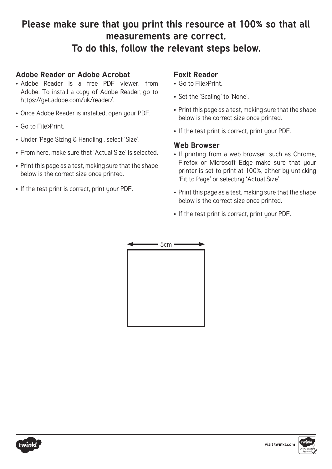## **Please make sure that you print this resource at 100% so that all measurements are correct. To do this, follow the relevant steps below.**

#### **Adobe Reader or Adobe Acrobat**

- Adobe Reader is a free PDF viewer, from Adobe. To install a copy of Adobe Reader, go to https://get.adobe.com/uk/reader/.
- Once Adobe Reader is installed, open your PDF.
- Go to File>Print.
- Under 'Page Sizing & Handling', select 'Size'.
- From here, make sure that 'Actual Size' is selected.
- Print this page as a test, making sure that the shape below is the correct size once printed.
- If the test print is correct, print your PDF.

## **Foxit Reader**

- Go to File>Print.
- Set the 'Scaling' to 'None'.
- Print this page as a test, making sure that the shape below is the correct size once printed.
- If the test print is correct, print your PDF.

#### **Web Browser**

- If printing from a web browser, such as Chrome, Firefox or Microsoft Edge make sure that your printer is set to print at 100%, either by unticking 'Fit to Page' or selecting 'Actual Size'.
- Print this page as a test, making sure that the shape below is the correct size once printed.
- If the test print is correct, print your PDF.



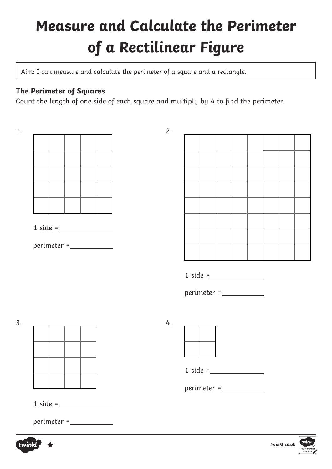# **Measure and Calculate the Perimeter of a Rectilinear Figure**

Aim: I can measure and calculate the perimeter of a square and a rectangle.

## **The Perimeter of Squares**

Count the length of one side of each square and multiply by 4 to find the perimeter.

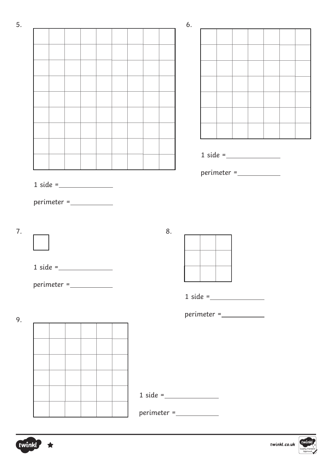|                                                                                                                                                                                                                                                                                                                                                                                                                                                                                                                                                                                  |  |  |    | 6.                 |                                                                                                                                                                                                                                                                                                                                                                                                                                                                                                                                        |  |                                                                                                                                                                                                                                                                                                                                                                                                                                                                 |  |  |
|----------------------------------------------------------------------------------------------------------------------------------------------------------------------------------------------------------------------------------------------------------------------------------------------------------------------------------------------------------------------------------------------------------------------------------------------------------------------------------------------------------------------------------------------------------------------------------|--|--|----|--------------------|----------------------------------------------------------------------------------------------------------------------------------------------------------------------------------------------------------------------------------------------------------------------------------------------------------------------------------------------------------------------------------------------------------------------------------------------------------------------------------------------------------------------------------------|--|-----------------------------------------------------------------------------------------------------------------------------------------------------------------------------------------------------------------------------------------------------------------------------------------------------------------------------------------------------------------------------------------------------------------------------------------------------------------|--|--|
|                                                                                                                                                                                                                                                                                                                                                                                                                                                                                                                                                                                  |  |  |    |                    |                                                                                                                                                                                                                                                                                                                                                                                                                                                                                                                                        |  |                                                                                                                                                                                                                                                                                                                                                                                                                                                                 |  |  |
|                                                                                                                                                                                                                                                                                                                                                                                                                                                                                                                                                                                  |  |  |    |                    |                                                                                                                                                                                                                                                                                                                                                                                                                                                                                                                                        |  |                                                                                                                                                                                                                                                                                                                                                                                                                                                                 |  |  |
|                                                                                                                                                                                                                                                                                                                                                                                                                                                                                                                                                                                  |  |  |    |                    |                                                                                                                                                                                                                                                                                                                                                                                                                                                                                                                                        |  |                                                                                                                                                                                                                                                                                                                                                                                                                                                                 |  |  |
|                                                                                                                                                                                                                                                                                                                                                                                                                                                                                                                                                                                  |  |  |    |                    |                                                                                                                                                                                                                                                                                                                                                                                                                                                                                                                                        |  |                                                                                                                                                                                                                                                                                                                                                                                                                                                                 |  |  |
|                                                                                                                                                                                                                                                                                                                                                                                                                                                                                                                                                                                  |  |  |    |                    |                                                                                                                                                                                                                                                                                                                                                                                                                                                                                                                                        |  |                                                                                                                                                                                                                                                                                                                                                                                                                                                                 |  |  |
|                                                                                                                                                                                                                                                                                                                                                                                                                                                                                                                                                                                  |  |  |    |                    |                                                                                                                                                                                                                                                                                                                                                                                                                                                                                                                                        |  |                                                                                                                                                                                                                                                                                                                                                                                                                                                                 |  |  |
|                                                                                                                                                                                                                                                                                                                                                                                                                                                                                                                                                                                  |  |  |    |                    |                                                                                                                                                                                                                                                                                                                                                                                                                                                                                                                                        |  |                                                                                                                                                                                                                                                                                                                                                                                                                                                                 |  |  |
|                                                                                                                                                                                                                                                                                                                                                                                                                                                                                                                                                                                  |  |  |    |                    |                                                                                                                                                                                                                                                                                                                                                                                                                                                                                                                                        |  |                                                                                                                                                                                                                                                                                                                                                                                                                                                                 |  |  |
|                                                                                                                                                                                                                                                                                                                                                                                                                                                                                                                                                                                  |  |  |    |                    |                                                                                                                                                                                                                                                                                                                                                                                                                                                                                                                                        |  |                                                                                                                                                                                                                                                                                                                                                                                                                                                                 |  |  |
|                                                                                                                                                                                                                                                                                                                                                                                                                                                                                                                                                                                  |  |  |    |                    |                                                                                                                                                                                                                                                                                                                                                                                                                                                                                                                                        |  | $1 \text{ side} =$                                                                                                                                                                                                                                                                                                                                                                                                                                              |  |  |
| $1 \text{ side} =$                                                                                                                                                                                                                                                                                                                                                                                                                                                                                                                                                               |  |  |    |                    |                                                                                                                                                                                                                                                                                                                                                                                                                                                                                                                                        |  | $\begin{minipage}{.4\linewidth} \begin{tabular}{@{}c@{}} \textit{perimeter} = \textcolor{red}{\textbf{1} & \textbf{1} & \textbf{1} & \textbf{1} \\ \textit{perimeter} = \textcolor{red}{\textbf{1} & \textbf{1} & \textbf{1} & \textbf{1} \\ \textit{1} & \textit{1} & \textit{1} & \textit{1} & \textbf{1} \\ \textit{2} & \textit{2} & \textit{2} & \textit{2} & \textit{1} & \textbf{1} \\ \textit{3} & \textit{4} & \textit{5} & \textit{6} & \textit{1} &$ |  |  |
|                                                                                                                                                                                                                                                                                                                                                                                                                                                                                                                                                                                  |  |  | 8. |                    |                                                                                                                                                                                                                                                                                                                                                                                                                                                                                                                                        |  |                                                                                                                                                                                                                                                                                                                                                                                                                                                                 |  |  |
|                                                                                                                                                                                                                                                                                                                                                                                                                                                                                                                                                                                  |  |  |    |                    |                                                                                                                                                                                                                                                                                                                                                                                                                                                                                                                                        |  |                                                                                                                                                                                                                                                                                                                                                                                                                                                                 |  |  |
|                                                                                                                                                                                                                                                                                                                                                                                                                                                                                                                                                                                  |  |  |    |                    | $1 \text{ side} =$                                                                                                                                                                                                                                                                                                                                                                                                                                                                                                                     |  |                                                                                                                                                                                                                                                                                                                                                                                                                                                                 |  |  |
|                                                                                                                                                                                                                                                                                                                                                                                                                                                                                                                                                                                  |  |  |    |                    | $\begin{minipage}{.4\linewidth} \begin{tabular}{@{}c@{}} \textit{perimeter} = \textcolor{red}{\textbf{1}} & \textcolor{red}{\textbf{1}} & \textcolor{red}{\textbf{1}} \\ \textcolor{red}{\textbf{1}} & \textcolor{red}{\textbf{1}} & \textcolor{red}{\textbf{1}} & \textcolor{red}{\textbf{1}} \\ \textcolor{red}{\textbf{1}} & \textcolor{red}{\textbf{1}} & \textcolor{red}{\textbf{1}} & \textcolor{red}{\textbf{1}} \\ \textcolor{red}{\textbf{1}} & \textcolor{red}{\textbf{1}} & \textcolor{red}{\textbf{1}} & \textcolor{red}{$ |  |                                                                                                                                                                                                                                                                                                                                                                                                                                                                 |  |  |
|                                                                                                                                                                                                                                                                                                                                                                                                                                                                                                                                                                                  |  |  |    |                    |                                                                                                                                                                                                                                                                                                                                                                                                                                                                                                                                        |  |                                                                                                                                                                                                                                                                                                                                                                                                                                                                 |  |  |
|                                                                                                                                                                                                                                                                                                                                                                                                                                                                                                                                                                                  |  |  |    |                    |                                                                                                                                                                                                                                                                                                                                                                                                                                                                                                                                        |  |                                                                                                                                                                                                                                                                                                                                                                                                                                                                 |  |  |
|                                                                                                                                                                                                                                                                                                                                                                                                                                                                                                                                                                                  |  |  |    |                    |                                                                                                                                                                                                                                                                                                                                                                                                                                                                                                                                        |  |                                                                                                                                                                                                                                                                                                                                                                                                                                                                 |  |  |
|                                                                                                                                                                                                                                                                                                                                                                                                                                                                                                                                                                                  |  |  |    |                    |                                                                                                                                                                                                                                                                                                                                                                                                                                                                                                                                        |  |                                                                                                                                                                                                                                                                                                                                                                                                                                                                 |  |  |
|                                                                                                                                                                                                                                                                                                                                                                                                                                                                                                                                                                                  |  |  |    |                    |                                                                                                                                                                                                                                                                                                                                                                                                                                                                                                                                        |  |                                                                                                                                                                                                                                                                                                                                                                                                                                                                 |  |  |
| $perimeter = \_$<br>$1 \text{ side} =$<br>$\begin{minipage}{.4\linewidth} \begin{tabular}{@{}c@{}} \textit{perimeter} = \textcolor{red}{\textbf{1}} & \textcolor{red}{\textbf{1}} & \textcolor{red}{\textbf{1}} \\ \textcolor{red}{\textbf{1}} & \textcolor{red}{\textbf{1}} & \textcolor{red}{\textbf{1}} & \textcolor{red}{\textbf{1}} \\ \textcolor{red}{\textbf{1}} & \textcolor{red}{\textbf{1}} & \textcolor{red}{\textbf{1}} & \textcolor{red}{\textbf{1}} \\ \textcolor{red}{\textbf{1}} & \textcolor{red}{\textbf{1}} & \textcolor{red}{\textbf{1}} & \textcolor{red}{$ |  |  |    | $1 \text{ side} =$ |                                                                                                                                                                                                                                                                                                                                                                                                                                                                                                                                        |  |                                                                                                                                                                                                                                                                                                                                                                                                                                                                 |  |  |



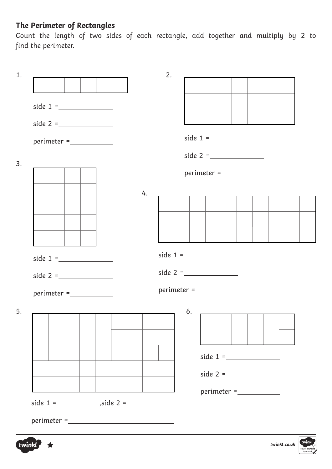## **The Perimeter of Rectangles**

Count the length of two sides of each rectangle, add together and multiply by 2 to find the perimeter.

| $\begin{minipage}{.4\linewidth} \begin{tabular}{l} \bf perimeter = \textcolor{red}{\textbf{---}} \end{tabular} \end{minipage}$ |    |               |                |  |
|--------------------------------------------------------------------------------------------------------------------------------|----|---------------|----------------|--|
|                                                                                                                                |    |               |                |  |
|                                                                                                                                |    |               |                |  |
|                                                                                                                                | 4. |               |                |  |
|                                                                                                                                |    |               |                |  |
|                                                                                                                                |    |               |                |  |
|                                                                                                                                |    |               |                |  |
|                                                                                                                                |    |               |                |  |
|                                                                                                                                |    |               |                |  |
|                                                                                                                                |    |               |                |  |
|                                                                                                                                |    | $perimeter =$ |                |  |
|                                                                                                                                |    | 6.            | $\overline{1}$ |  |
|                                                                                                                                |    |               |                |  |
|                                                                                                                                |    |               |                |  |
|                                                                                                                                |    |               |                |  |
|                                                                                                                                |    |               |                |  |
|                                                                                                                                |    |               |                |  |
|                                                                                                                                |    |               |                |  |
|                                                                                                                                |    |               |                |  |



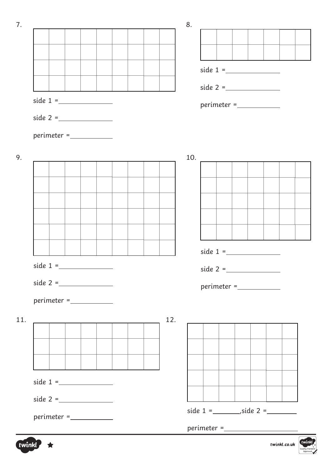

twink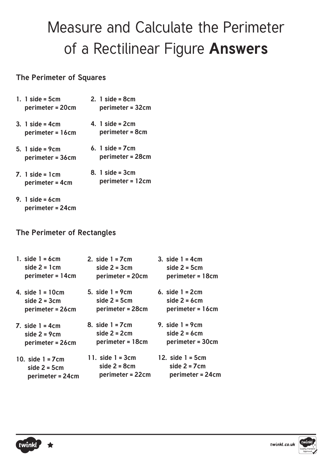## Measure and Calculate the Perimeter of a Rectilinear Figure **Answers**

#### **The Perimeter of Squares**

- **1. 1 side = 5cm perimeter = 20cm 2. 1 side = 8cm perimeter = 32cm**
- **3. 1 side = 4cm perimeter = 16cm 4. 1 side = 2cm perimeter = 8cm**
- **5. 1 side = 9cm perimeter = 36cm 6. 1 side = 7cm perimeter = 28cm**
- **7. 1 side = 1cm perimeter = 4cm 8. 1 side = 3cm perimeter = 12cm**
- **9. 1 side = 6cm perimeter = 24cm**

### **The Perimeter of Rectangles**

| 1. side $1 = 6$ cm   | 2. side $1 = 7$ cm | 3. side $1 = 4$ cm |
|----------------------|--------------------|--------------------|
| side $2 = 1$ cm      | side $2 = 3cm$     | side $2 = 5cm$     |
| perimeter = 14cm     | perimeter = 20cm   | perimeter = 18cm   |
| 4. side $1 = 10cm$   | 5. side $1 = 9$ cm | 6. side $1 = 2$ cm |
| side $2 = 3cm$       | side $2 = 5cm$     | side $2 = 6$ cm    |
| perimeter = 26cm     | perimeter = 28cm   | perimeter = 16cm   |
| $7.$ side $1 = 4$ cm | 8. side $1 = 7$ cm | 9. side $1 = 9cm$  |
| side $2 = 9cm$       | side $2 = 2$ cm    | side $2 = 6$ cm    |
| perimeter = 26cm     | perimeter = 18cm   | perimeter = 30cm   |
| 10. side $1 = 7$ cm  | 11. side $1 = 3cm$ | 12. side $1 = 5cm$ |
| side $2 = 5cm$       | side $2 = 8$ cm    | side $2 = 7$ cm    |
| perimeter = 24cm     | perimeter = 22cm   | perimeter = 24cm   |



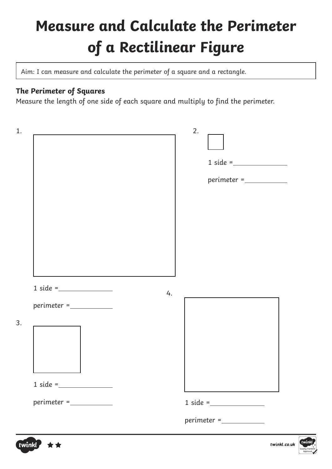# **Measure and Calculate the Perimeter of a Rectilinear Figure**

Aim: I can measure and calculate the perimeter of a square and a rectangle.

## **The Perimeter of Squares**

Measure the length of one side of each square and multiply to find the perimeter.

| 1. |                                                                                                                                                                                                                                                                                                                                                                                                                                                                                                                                                                                                                         | 2.                 |
|----|-------------------------------------------------------------------------------------------------------------------------------------------------------------------------------------------------------------------------------------------------------------------------------------------------------------------------------------------------------------------------------------------------------------------------------------------------------------------------------------------------------------------------------------------------------------------------------------------------------------------------|--------------------|
|    |                                                                                                                                                                                                                                                                                                                                                                                                                                                                                                                                                                                                                         |                    |
|    |                                                                                                                                                                                                                                                                                                                                                                                                                                                                                                                                                                                                                         |                    |
|    |                                                                                                                                                                                                                                                                                                                                                                                                                                                                                                                                                                                                                         | $perimeter = \_$   |
|    |                                                                                                                                                                                                                                                                                                                                                                                                                                                                                                                                                                                                                         |                    |
|    |                                                                                                                                                                                                                                                                                                                                                                                                                                                                                                                                                                                                                         |                    |
|    |                                                                                                                                                                                                                                                                                                                                                                                                                                                                                                                                                                                                                         |                    |
|    |                                                                                                                                                                                                                                                                                                                                                                                                                                                                                                                                                                                                                         |                    |
|    |                                                                                                                                                                                                                                                                                                                                                                                                                                                                                                                                                                                                                         |                    |
|    | $1 \, side = \_$<br>4.                                                                                                                                                                                                                                                                                                                                                                                                                                                                                                                                                                                                  |                    |
|    | $perimeter = \_$                                                                                                                                                                                                                                                                                                                                                                                                                                                                                                                                                                                                        |                    |
| 3. |                                                                                                                                                                                                                                                                                                                                                                                                                                                                                                                                                                                                                         |                    |
|    |                                                                                                                                                                                                                                                                                                                                                                                                                                                                                                                                                                                                                         |                    |
|    |                                                                                                                                                                                                                                                                                                                                                                                                                                                                                                                                                                                                                         |                    |
|    | $1 \text{ side} =$                                                                                                                                                                                                                                                                                                                                                                                                                                                                                                                                                                                                      |                    |
|    | $\begin{minipage}{.4\linewidth} \begin{tabular}{l} \bf perimeter = \textcolor{red}{\footnotesize \textcolor{blue}{\textbf{--}}}\qquad \textcolor{blue}{\footnotesize \textcolor{blue}{\textbf{--}}}\qquad \textcolor{blue}{\footnotesize \textcolor{blue}{\textbf{--}}}\qquad \textcolor{blue}{\footnotesize \textcolor{blue}{\textbf{--}}}\qquad \textcolor{blue}{\footnotesize \textcolor{blue}{\textbf{--}}}\qquad \textcolor{blue}{\footnotesize \textcolor{blue}{\textbf{--}}}\qquad \textcolor{blue}{\footnotesize \textcolor{blue}{\textbf{--}}}\qquad \textcolor{blue}{\footnotesize \textcolor{blue}{\textbf{$ | $1 \text{ side} =$ |
|    |                                                                                                                                                                                                                                                                                                                                                                                                                                                                                                                                                                                                                         | $perimeter = \_$   |
|    |                                                                                                                                                                                                                                                                                                                                                                                                                                                                                                                                                                                                                         |                    |



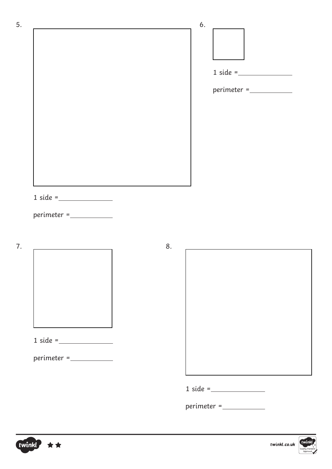



 $1 \text{ side} = \_$ 

perimeter =

 $1 \text{ side} =$ 

perimeter =





 $1 \text{ side} =$ 

perimeter =



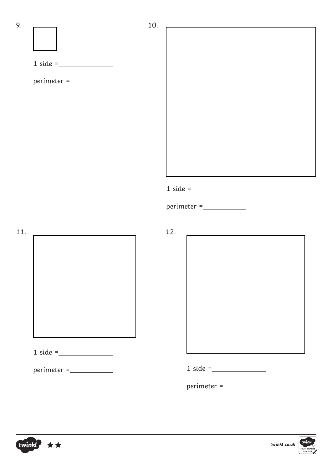$9.$  10. 11. 12.  $1 \text{ side} =$ perimeter =  $1 \text{ side} =$ perimeter =  $1 \text{ side} =$ perimeter =  $1 \text{ side} =$ perimeter =

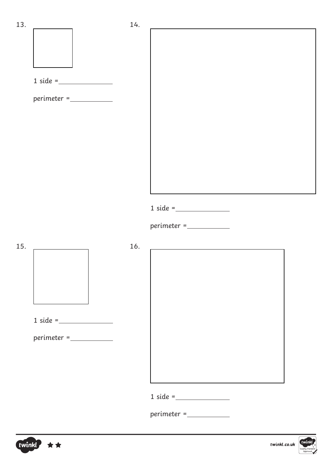



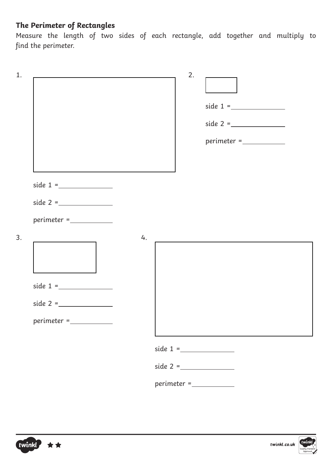## **The Perimeter of Rectangles**

Measure the length of two sides of each rectangle, add together and multiply to find the perimeter.

|                                                                                                                                | 2.                                                                                                                                                                                                                                                                                                                                                                                                                                                              |
|--------------------------------------------------------------------------------------------------------------------------------|-----------------------------------------------------------------------------------------------------------------------------------------------------------------------------------------------------------------------------------------------------------------------------------------------------------------------------------------------------------------------------------------------------------------------------------------------------------------|
|                                                                                                                                | $perimeter = \_$                                                                                                                                                                                                                                                                                                                                                                                                                                                |
|                                                                                                                                |                                                                                                                                                                                                                                                                                                                                                                                                                                                                 |
| $\begin{minipage}{.4\linewidth} \begin{tabular}{l} \bf perimeter = \textcolor{red}{\textbf{---}} \end{tabular} \end{minipage}$ | 4.                                                                                                                                                                                                                                                                                                                                                                                                                                                              |
|                                                                                                                                |                                                                                                                                                                                                                                                                                                                                                                                                                                                                 |
|                                                                                                                                | $\begin{minipage}{.4\linewidth} \begin{tabular}{@{}l@{}} \textit{perimeter} = \textcolor{red}{\textbf{1} & \textbf{1} & \textbf{1} & \textbf{1} \\ \textit{perimeter} = \textcolor{red}{\textbf{1} & \textbf{1} & \textbf{1} & \textbf{1} \\ \textit{1} & \textit{1} & \textit{1} & \textit{1} & \textbf{1} \\ \textit{2} & \textit{2} & \textit{2} & \textit{2} & \textit{1} & \textbf{1} \\ \textit{3} & \textit{4} & \textit{5} & \textit{1} & \textit{2} &$ |



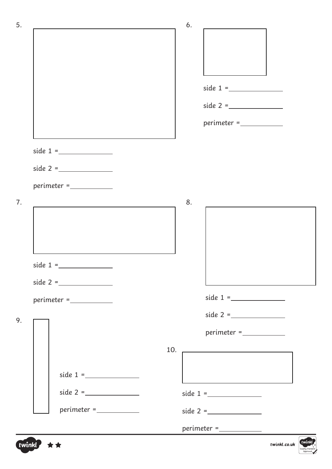| 5. |                                                                                                                                                                                                                                                                                                                                                                                                                                                                  | 6.                                                                                                                                                                                                                                                                                                                                                                                                                                                                                                                                     |
|----|------------------------------------------------------------------------------------------------------------------------------------------------------------------------------------------------------------------------------------------------------------------------------------------------------------------------------------------------------------------------------------------------------------------------------------------------------------------|----------------------------------------------------------------------------------------------------------------------------------------------------------------------------------------------------------------------------------------------------------------------------------------------------------------------------------------------------------------------------------------------------------------------------------------------------------------------------------------------------------------------------------------|
|    |                                                                                                                                                                                                                                                                                                                                                                                                                                                                  |                                                                                                                                                                                                                                                                                                                                                                                                                                                                                                                                        |
|    |                                                                                                                                                                                                                                                                                                                                                                                                                                                                  |                                                                                                                                                                                                                                                                                                                                                                                                                                                                                                                                        |
|    |                                                                                                                                                                                                                                                                                                                                                                                                                                                                  |                                                                                                                                                                                                                                                                                                                                                                                                                                                                                                                                        |
|    |                                                                                                                                                                                                                                                                                                                                                                                                                                                                  |                                                                                                                                                                                                                                                                                                                                                                                                                                                                                                                                        |
|    |                                                                                                                                                                                                                                                                                                                                                                                                                                                                  |                                                                                                                                                                                                                                                                                                                                                                                                                                                                                                                                        |
|    |                                                                                                                                                                                                                                                                                                                                                                                                                                                                  | $\begin{minipage}{.4\linewidth} \begin{tabular}{@{}c@{}} \textit{perimeter} = \textcolor{red}{\textbf{1}} & \textcolor{red}{\textbf{1}} & \textcolor{red}{\textbf{1}} \\ \textcolor{red}{\textbf{1}} & \textcolor{red}{\textbf{1}} & \textcolor{red}{\textbf{1}} & \textcolor{red}{\textbf{1}} \\ \textcolor{red}{\textbf{1}} & \textcolor{red}{\textbf{1}} & \textcolor{red}{\textbf{1}} & \textcolor{red}{\textbf{1}} \\ \textcolor{red}{\textbf{1}} & \textcolor{red}{\textbf{1}} & \textcolor{red}{\textbf{1}} & \textcolor{red}{$ |
|    |                                                                                                                                                                                                                                                                                                                                                                                                                                                                  |                                                                                                                                                                                                                                                                                                                                                                                                                                                                                                                                        |
|    |                                                                                                                                                                                                                                                                                                                                                                                                                                                                  |                                                                                                                                                                                                                                                                                                                                                                                                                                                                                                                                        |
|    |                                                                                                                                                                                                                                                                                                                                                                                                                                                                  |                                                                                                                                                                                                                                                                                                                                                                                                                                                                                                                                        |
|    | $perimeter = \_$                                                                                                                                                                                                                                                                                                                                                                                                                                                 |                                                                                                                                                                                                                                                                                                                                                                                                                                                                                                                                        |
| 7. |                                                                                                                                                                                                                                                                                                                                                                                                                                                                  | 8.                                                                                                                                                                                                                                                                                                                                                                                                                                                                                                                                     |
|    |                                                                                                                                                                                                                                                                                                                                                                                                                                                                  |                                                                                                                                                                                                                                                                                                                                                                                                                                                                                                                                        |
|    |                                                                                                                                                                                                                                                                                                                                                                                                                                                                  |                                                                                                                                                                                                                                                                                                                                                                                                                                                                                                                                        |
|    |                                                                                                                                                                                                                                                                                                                                                                                                                                                                  |                                                                                                                                                                                                                                                                                                                                                                                                                                                                                                                                        |
|    |                                                                                                                                                                                                                                                                                                                                                                                                                                                                  |                                                                                                                                                                                                                                                                                                                                                                                                                                                                                                                                        |
|    |                                                                                                                                                                                                                                                                                                                                                                                                                                                                  |                                                                                                                                                                                                                                                                                                                                                                                                                                                                                                                                        |
|    | $\begin{minipage}{.4\linewidth} \begin{tabular}{@{}l@{}} \textit{perimeter} = \textcolor{red}{\textbf{1} & \textbf{1} & \textbf{1} & \textbf{1} \\ \textit{perimeter} = \textcolor{red}{\textbf{1} & \textbf{1} & \textbf{1} & \textbf{1} \\ \textit{1} & \textit{1} & \textit{1} & \textit{1} & \textbf{1} \\ \textit{2} & \textit{2} & \textit{2} & \textit{2} & \textit{2} \\ \textit{3} & \textit{4} & \textit{5} & \textit{6} & \textit{1} & \textit{2} \\$ |                                                                                                                                                                                                                                                                                                                                                                                                                                                                                                                                        |
| 9. |                                                                                                                                                                                                                                                                                                                                                                                                                                                                  |                                                                                                                                                                                                                                                                                                                                                                                                                                                                                                                                        |
|    |                                                                                                                                                                                                                                                                                                                                                                                                                                                                  | $perimeter =$                                                                                                                                                                                                                                                                                                                                                                                                                                                                                                                          |
|    |                                                                                                                                                                                                                                                                                                                                                                                                                                                                  | 10.                                                                                                                                                                                                                                                                                                                                                                                                                                                                                                                                    |
|    |                                                                                                                                                                                                                                                                                                                                                                                                                                                                  |                                                                                                                                                                                                                                                                                                                                                                                                                                                                                                                                        |
|    |                                                                                                                                                                                                                                                                                                                                                                                                                                                                  |                                                                                                                                                                                                                                                                                                                                                                                                                                                                                                                                        |
|    |                                                                                                                                                                                                                                                                                                                                                                                                                                                                  |                                                                                                                                                                                                                                                                                                                                                                                                                                                                                                                                        |
|    |                                                                                                                                                                                                                                                                                                                                                                                                                                                                  |                                                                                                                                                                                                                                                                                                                                                                                                                                                                                                                                        |
|    |                                                                                                                                                                                                                                                                                                                                                                                                                                                                  | $perimeter = \_$                                                                                                                                                                                                                                                                                                                                                                                                                                                                                                                       |

twinkl \*\*

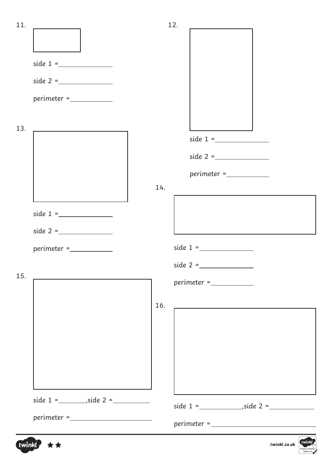| 11. |                  |     | 12. |                                                                                                                                                                                                                                                                                                                                                                                                                                                                              |        |
|-----|------------------|-----|-----|------------------------------------------------------------------------------------------------------------------------------------------------------------------------------------------------------------------------------------------------------------------------------------------------------------------------------------------------------------------------------------------------------------------------------------------------------------------------------|--------|
|     |                  |     |     |                                                                                                                                                                                                                                                                                                                                                                                                                                                                              |        |
|     |                  |     |     |                                                                                                                                                                                                                                                                                                                                                                                                                                                                              |        |
|     |                  |     |     |                                                                                                                                                                                                                                                                                                                                                                                                                                                                              |        |
|     | $perimeter = \_$ |     |     |                                                                                                                                                                                                                                                                                                                                                                                                                                                                              |        |
|     |                  |     |     |                                                                                                                                                                                                                                                                                                                                                                                                                                                                              |        |
| 13. |                  |     |     |                                                                                                                                                                                                                                                                                                                                                                                                                                                                              |        |
|     |                  |     |     |                                                                                                                                                                                                                                                                                                                                                                                                                                                                              |        |
|     |                  |     |     |                                                                                                                                                                                                                                                                                                                                                                                                                                                                              |        |
|     |                  | 14. |     |                                                                                                                                                                                                                                                                                                                                                                                                                                                                              |        |
|     |                  |     |     |                                                                                                                                                                                                                                                                                                                                                                                                                                                                              |        |
|     |                  |     |     |                                                                                                                                                                                                                                                                                                                                                                                                                                                                              |        |
|     | $perimeter = \_$ |     |     |                                                                                                                                                                                                                                                                                                                                                                                                                                                                              |        |
|     |                  |     |     |                                                                                                                                                                                                                                                                                                                                                                                                                                                                              |        |
| 15. |                  |     |     |                                                                                                                                                                                                                                                                                                                                                                                                                                                                              |        |
|     |                  | 16. |     |                                                                                                                                                                                                                                                                                                                                                                                                                                                                              |        |
|     |                  |     |     |                                                                                                                                                                                                                                                                                                                                                                                                                                                                              |        |
|     |                  |     |     |                                                                                                                                                                                                                                                                                                                                                                                                                                                                              |        |
|     |                  |     |     |                                                                                                                                                                                                                                                                                                                                                                                                                                                                              |        |
|     |                  |     |     |                                                                                                                                                                                                                                                                                                                                                                                                                                                                              |        |
|     |                  |     |     |                                                                                                                                                                                                                                                                                                                                                                                                                                                                              |        |
|     |                  |     |     |                                                                                                                                                                                                                                                                                                                                                                                                                                                                              |        |
|     |                  |     |     | $\begin{minipage}{.4\linewidth} perimeter = \textcolor{red}{\textbf{long}~\textbf{long}~\textbf{long}~\textbf{long}~\textbf{long}~\textbf{long}~\textbf{long}~\textbf{long}~\textbf{long}~\textbf{long}~\textbf{long}~\textbf{long}~\textbf{long}~\textbf{long}~\textbf{long}~\textbf{long}~\textbf{long}~\textbf{long}~\textbf{long}~\textbf{long}~\textbf{long}~\textbf{long}~\textbf{long}~\textbf{long}~\textbf{long}~\textbf{long}~\textbf{long}~\textbf{long}~\textbf$ |        |
|     | twinkl ★★        |     |     | twinkl.co.uk                                                                                                                                                                                                                                                                                                                                                                                                                                                                 | twinkl |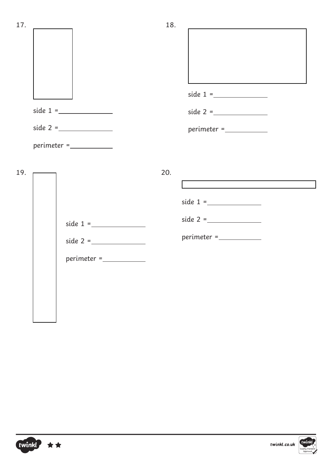| 17. |               | 18. |                  |
|-----|---------------|-----|------------------|
|     |               |     |                  |
|     |               |     |                  |
|     |               |     |                  |
|     |               |     | $perimeter = \_$ |
|     | $perimeter =$ |     |                  |
| 19. |               | 20. |                  |

|            | side $1 =$    |
|------------|---------------|
|            | side $2 =$    |
| side $1 =$ | $perimeter =$ |
| side $2 =$ |               |
|            |               |

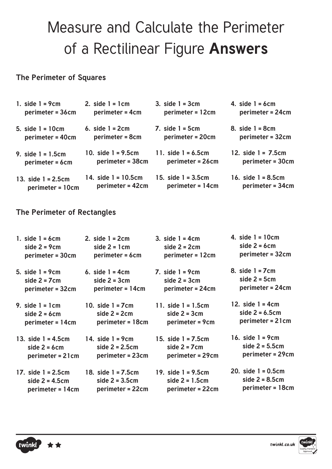## Measure and Calculate the Perimeter of a Rectilinear Figure **Answers**

### **The Perimeter of Squares**

| 1. side $1 = 9cm$     | 2. side $1 = 1$ cm    | 3. side $1 = 3cm$     | 4. side $1 = 6$ cm    |
|-----------------------|-----------------------|-----------------------|-----------------------|
| perimeter = 36cm      | perimeter = 4cm       | perimeter = 12cm      | perimeter = 24cm      |
| 5. $side 1 = 10cm$    | 6. side $1 = 2$ cm    | $7.$ side $1 = 5cm$   | 8. side $1 = 8$ cm    |
| perimeter = 40cm      | perimeter = 8cm       | perimeter = 20cm      | perimeter = 32cm      |
| 9. side $1 = 1.5$ cm  | 10. side $1 = 9.5$ cm | 11. side $1 = 6.5$ cm | 12. side $1 = 7.5$ cm |
| perimeter = 6cm       | perimeter = 38cm      | perimeter = 26cm      | perimeter = 30cm      |
| 13. side $1 = 2.5$ cm | 14. side $1 = 10.5cm$ | 15. $side 1 = 3.5cm$  | 16. side $1 = 8.5$ cm |
| perimeter = 10cm      | perimeter = 42cm      | perimeter = 14cm      | perimeter = 34cm      |

## **The Perimeter of Rectangles**

| 1. side $1 = 6$ cm    | 2. side $1 = 2$ cm    | 3. side $1 = 4$ cm    | 4. side $1 = 10cm$    |
|-----------------------|-----------------------|-----------------------|-----------------------|
| side $2 = 9cm$        | side $2 = 1$ cm       | side $2 = 2$ cm       | side $2 = 6$ cm       |
| perimeter = 30cm      | perimeter = 6cm       | perimeter = 12cm      | perimeter = 32cm      |
| 5. side $1 = 9cm$     | 6. side $1 = 4$ cm    | 7. side $1 = 9cm$     | 8. side $1 = 7$ cm    |
| side $2 = 7$ cm       | side $2 = 3cm$        | side $2 = 3cm$        | side $2 = 5cm$        |
| perimeter = 32cm      | perimeter = 14cm      | perimeter = 24cm      | perimeter = 24cm      |
| 9. side $1 = 1$ cm    | 10. side $1 = 7$ cm   | 11. side $1 = 1.5$ cm | 12. $side 1 = 4cm$    |
| side $2 = 6$ cm       | side $2 = 2$ cm       | side $2 = 3cm$        | side $2 = 6.5cm$      |
| perimeter = 14cm      | perimeter = 18cm      | perimeter = 9cm       | perimeter = 21cm      |
| 13. side $1 = 4.5$ cm | 14. side $1 = 9$ cm   | 15. side $1 = 7.5$ cm | 16. $side 1 = 9cm$    |
| side $2 = 6$ cm       | side $2 = 2.5$ cm     | side $2 = 7$ cm       | side $2 = 5.5cm$      |
| perimeter = 21cm      | perimeter = 23cm      | perimeter = 29cm      | perimeter = 29cm      |
| 17. side $1 = 2.5$ cm | 18. side $1 = 7.5$ cm | 19. side $1 = 9.5$ cm | 20. side $1 = 0.5$ cm |
| side $2 = 4.5$ cm     | side $2 = 3.5$ cm     | side $2 = 1.5$ cm     | side $2 = 8.5$ cm     |
| perimeter = 14cm      | perimeter = 22cm      | perimeter = 22cm      | perimeter = 18cm      |



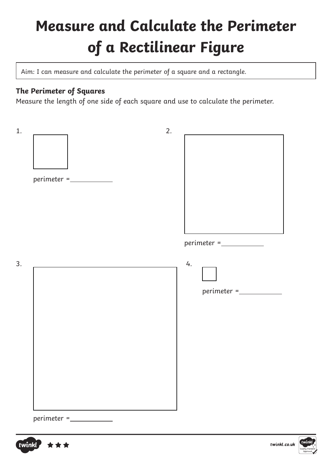# **Measure and Calculate the Perimeter of a Rectilinear Figure**

Aim: I can measure and calculate the perimeter of a square and a rectangle.

## **The Perimeter of Squares**

Measure the length of one side of each square and use to calculate the perimeter.





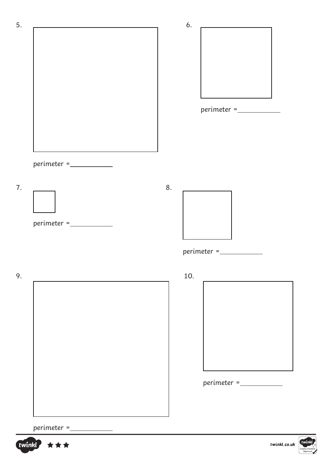

#### perimeter =



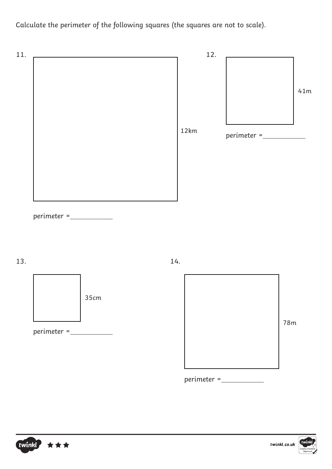Calculate the perimeter of the following squares (the squares are not to scale).



perimeter =



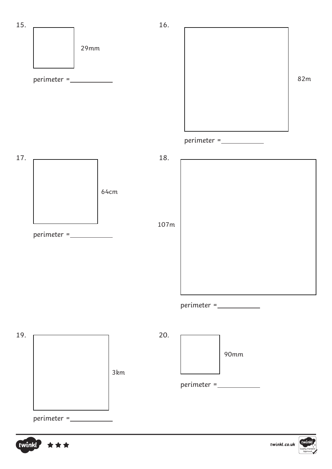

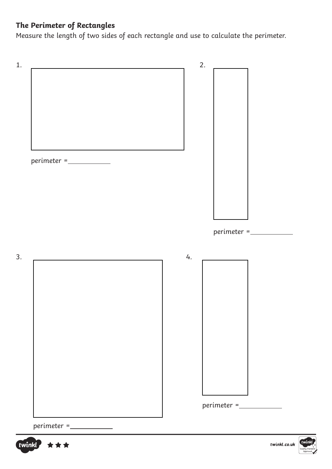## **The Perimeter of Rectangles**

Measure the length of two sides of each rectangle and use to calculate the perimeter.

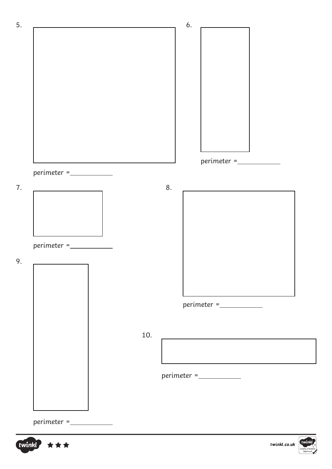

twinkl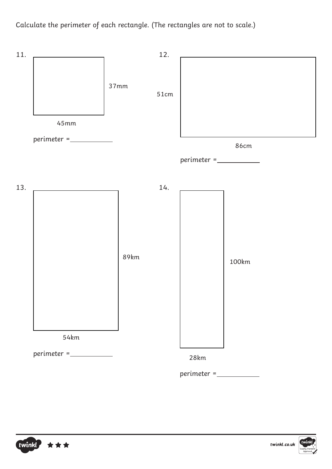Calculate the perimeter of each rectangle. (The rectangles are not to scale.)





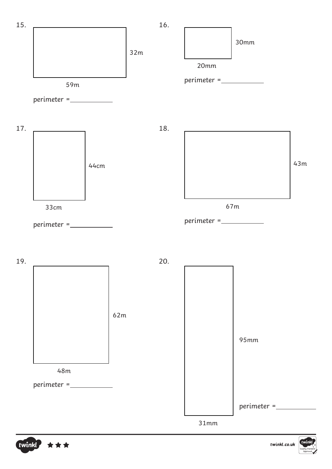